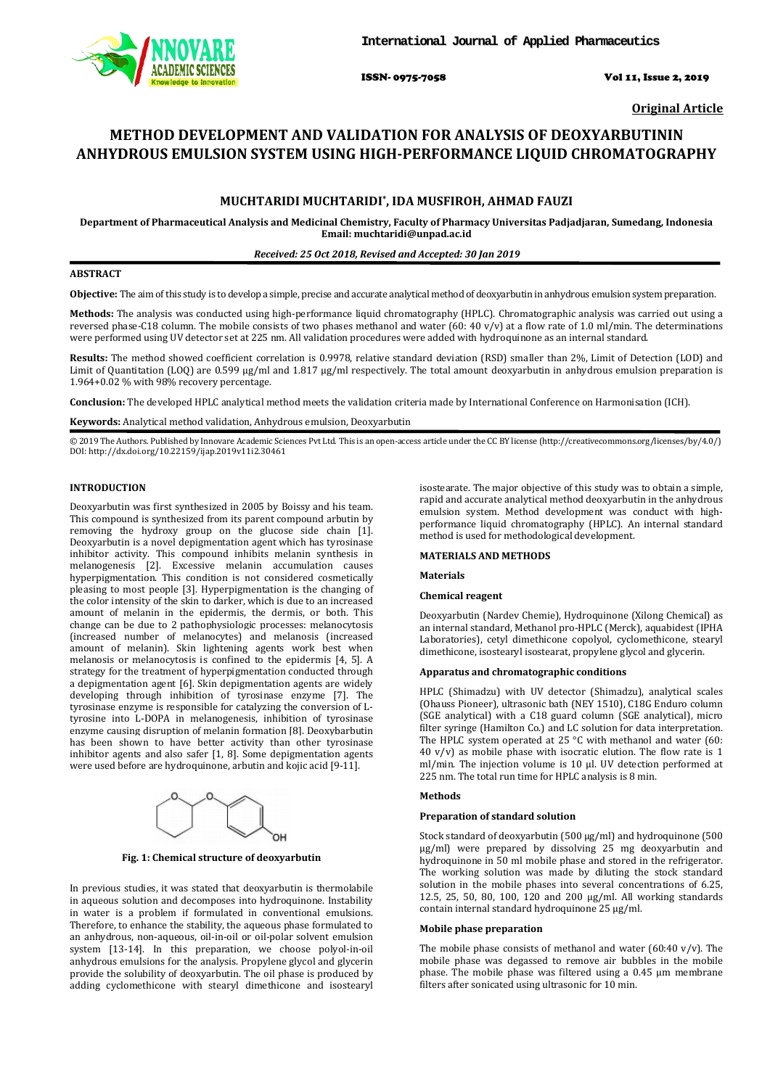

ISSN- 0975-7058 Vol 11, Issue 2, 2019

**Original Article**

# **METHOD DEVELOPMENT AND VALIDATION FOR ANALYSIS OF DEOXYARBUTININ ANHYDROUS EMULSION SYSTEM USING HIGH-PERFORMANCE LIQUID CHROMATOGRAPHY**

# **MUCHTARIDI MUCHTARIDI\* , IDA MUSFIROH, AHMAD FAUZI**

**Department of Pharmaceutical Analysis and Medicinal Chemistry, Faculty of Pharmacy Universitas Padjadjaran, Sumedang, Indonesia Email: muchtaridi@unpad.ac.id**

### *Received: 25 Oct 2018, Revised and Accepted: 30 Jan 2019*

# **ABSTRACT**

**Objective:** The aim of this study is to develop a simple, precise and accurate analytical method of deoxyarbutin in anhydrous emulsion system preparation.

**Methods:** The analysis was conducted using high-performance liquid chromatography (HPLC). Chromatographic analysis was carried out using a reversed phase-C18 column. The mobile consists of two phases methanol and water (60: 40 v/v) at a flow rate of 1.0 ml/min. The determinations were performed using UV detector set at 225 nm. All validation procedures were added with hydroquinone as an internal standard.

**Results:** The method showed coefficient correlation is 0.9978, relative standard deviation (RSD) smaller than 2%, Limit of Detection (LOD) and Limit of Quantitation (LOQ) are 0.599 µg/ml and 1.817 µg/ml respectively. The total amount deoxyarbutin in anhydrous emulsion preparation is 1.964+0.02 % with 98% recovery percentage.

**Conclusion:** The developed HPLC analytical method meets the validation criteria made by International Conference on Harmonisation (ICH).

**Keywords:** Analytical method validation, Anhydrous emulsion, Deoxyarbutin

© 2019 The Authors. Published by Innovare Academic Sciences Pvt Ltd. This is an open-access article under the CC BY license [\(http://creativecommons.org/licenses/by/4.0/\)](http://creativecommons.org/licenses/by/4.0/) DOI: http://dx.doi.org/10.22159/ijap.2019v11i2.30461

# **INTRODUCTION**

Deoxyarbutin was first synthesized in 2005 by Boissy and his team. This compound is synthesized from its parent compound arbutin by removing the hydroxy group on the glucose side chain [1]. Deoxyarbutin is a novel depigmentation agent which has tyrosinase inhibitor activity. This compound inhibits melanin synthesis in melanogenesis [2]. Excessive melanin accumulation causes hyperpigmentation. This condition is not considered cosmetically pleasing to most people [3]. Hyperpigmentation is the changing of the color intensity of the skin to darker, which is due to an increased amount of melanin in the epidermis, the dermis, or both. This change can be due to 2 pathophysiologic processes: melanocytosis (increased number of melanocytes) and melanosis (increased amount of melanin). Skin lightening agents work best when melanosis or melanocytosis is confined to the epidermis [4, 5]. A strategy for the treatment of hyperpigmentation conducted through a depigmentation agent [6]. Skin depigmentation agents are widely developing through inhibition of tyrosinase enzyme [7]. The tyrosinase enzyme is responsible for catalyzing the conversion of Ltyrosine into L-DOPA in melanogenesis, inhibition of tyrosinase enzyme causing disruption of melanin formation [8]. Deoxybarbutin has been shown to have better activity than other tyrosinase inhibitor agents and also safer [1, 8]. Some depigmentation agents were used before are hydroquinone, arbutin and kojic acid [9-11].



**Fig. 1: Chemical structure of deoxyarbutin**

In previous studies, it was stated that deoxyarbutin is thermolabile in aqueous solution and decomposes into hydroquinone. Instability in water is a problem if formulated in conventional emulsions. Therefore, to enhance the stability, the aqueous phase formulated to an anhydrous, non-aqueous, oil-in-oil or oil-polar solvent emulsion system [13-14]. In this preparation, we choose polyol-in-oil anhydrous emulsions for the analysis. Propylene glycol and glycerin provide the solubility of deoxyarbutin. The oil phase is produced by adding cyclomethicone with stearyl dimethicone and isostearyl

isostearate. The major objective of this study was to obtain a simple, rapid and accurate analytical method deoxyarbutin in the anhydrous emulsion system. Method development was conduct with highperformance liquid chromatography (HPLC). An internal standard method is used for methodological development.

#### **MATERIALS AND METHODS**

**Materials**

#### **Chemical reagent**

Deoxyarbutin (Nardev Chemie), Hydroquinone (Xilong Chemical) as an internal standard, Methanol pro-HPLC (Merck), aquabidest (IPHA Laboratories), cetyl dimethicone copolyol, cyclomethicone, stearyl dimethicone, isostearyl isostearat, propylene glycol and glycerin.

## **Apparatus and chromatographic conditions**

HPLC (Shimadzu) with UV detector (Shimadzu), analytical scales (Ohauss Pioneer), ultrasonic bath (NEY 1510), C18G Enduro column (SGE analytical) with a C18 guard column (SGE analytical), micro filter syringe (Hamilton Co.) and LC solution for data interpretation. The HPLC system operated at 25 °C with methanol and water (60:  $40 \text{ v/v}$  as mobile phase with isocratic elution. The flow rate is 1 ml/min. The injection volume is 10 µl. UV detection performed at 225 nm. The total run time for HPLC analysis is 8 min.

## **Methods**

#### **Preparation of standard solution**

Stock standard of deoxyarbutin (500 µg/ml) and hydroquinone (500 µg/ml) were prepared by dissolving 25 mg deoxyarbutin and hydroquinone in 50 ml mobile phase and stored in the refrigerator. The working solution was made by diluting the stock standard solution in the mobile phases into several concentrations of 6.25, 12.5, 25, 50, 80, 100, 120 and 200 µg/ml. All working standards contain internal standard hydroquinone 25 µg/ml.

#### **Mobile phase preparation**

The mobile phase consists of methanol and water (60:40 v/v). The mobile phase was degassed to remove air bubbles in the mobile phase. The mobile phase was filtered using a 0.45 μm membrane filters after sonicated using ultrasonic for 10 min.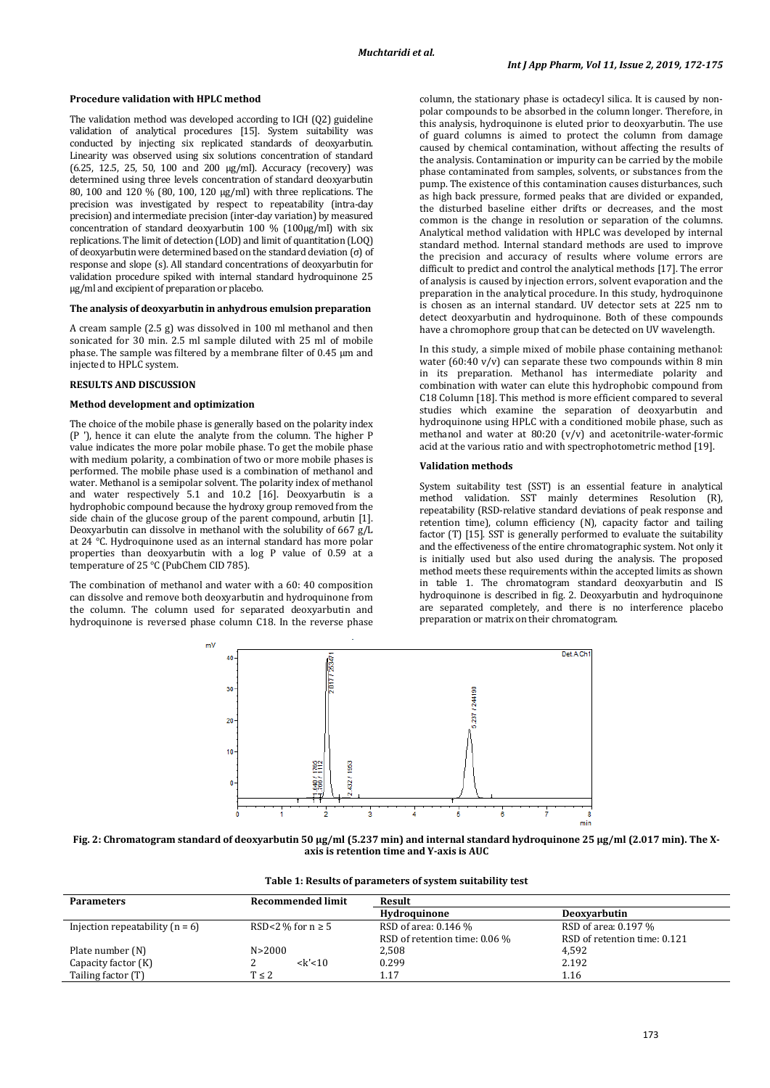## **Procedure validation with HPLC method**

The validation method was developed according to ICH (Q2) guideline validation of analytical procedures [15]. System suitability was conducted by injecting six replicated standards of deoxyarbutin. Linearity was observed using six solutions concentration of standard (6.25, 12.5, 25, 50, 100 and 200 µg/ml). Accuracy (recovery) was determined using three levels concentration of standard deoxyarbutin 80, 100 and 120 % (80, 100, 120 µg/ml) with three replications. The precision was investigated by respect to repeatability (intra-day precision) and intermediate precision (inter-day variation) by measured concentration of standard deoxyarbutin 100 % (100µg/ml) with six replications. The limit of detection (LOD) and limit of quantitation (LOQ) of deoxyarbutin were determined based on the standard deviation (σ) of response and slope (s). All standard concentrations of deoxyarbutin for validation procedure spiked with internal standard hydroquinone 25 µg/ml and excipient of preparation or placebo.

## **The analysis of deoxyarbutin in anhydrous emulsion preparation**

A cream sample (2.5 g) was dissolved in 100 ml methanol and then sonicated for 30 min. 2.5 ml sample diluted with 25 ml of mobile phase. The sample was filtered by a membrane filter of 0.45 μm and injected to HPLC system.

#### **RESULTS AND DISCUSSION**

#### **Method development and optimization**

The choice of the mobile phase is generally based on the polarity index (P '), hence it can elute the analyte from the column. The higher P value indicates the more polar mobile phase. To get the mobile phase with medium polarity, a combination of two or more mobile phases is performed. The mobile phase used is a combination of methanol and water. Methanol is a semipolar solvent. The polarity index of methanol and water respectively 5.1 and 10.2 [16]. Deoxyarbutin is a hydrophobic compound because the hydroxy group removed from the side chain of the glucose group of the parent compound, arbutin [1]. Deoxyarbutin can dissolve in methanol with the solubility of 667  $g/L$ at 24 °C. Hydroquinone used as an internal standard has more polar properties than deoxyarbutin with a log P value of 0.59 at a temperature of 25 °C (PubChem CID 785).

The combination of methanol and water with a 60: 40 composition can dissolve and remove both deoxyarbutin and hydroquinone from the column. The column used for separated deoxyarbutin and hydroquinone is reversed phase column C18. In the reverse phase

column, the stationary phase is octadecyl silica. It is caused by nonpolar compounds to be absorbed in the column longer. Therefore, in this analysis, hydroquinone is eluted prior to deoxyarbutin. The use of guard columns is aimed to protect the column from damage caused by chemical contamination, without affecting the results of the analysis. Contamination or impurity can be carried by the mobile phase contaminated from samples, solvents, or substances from the pump. The existence of this contamination causes disturbances, such as high back pressure, formed peaks that are divided or expanded, the disturbed baseline either drifts or decreases, and the most common is the change in resolution or separation of the columns. Analytical method validation with HPLC was developed by internal standard method. Internal standard methods are used to improve the precision and accuracy of results where volume errors are difficult to predict and control the analytical methods [17]. The error of analysis is caused by injection errors, solvent evaporation and the preparation in the analytical procedure. In this study, hydroquinone is chosen as an internal standard. UV detector sets at 225 nm to detect deoxyarbutin and hydroquinone. Both of these compounds have a chromophore group that can be detected on UV wavelength.

In this study, a simple mixed of mobile phase containing methanol: water (60:40 v/v) can separate these two compounds within 8 min in its preparation. Methanol has intermediate polarity and combination with water can elute this hydrophobic compound from C18 Column [18]. This method is more efficient compared to several studies which examine the separation of deoxyarbutin and hydroquinone using HPLC with a conditioned mobile phase, such as methanol and water at 80:20 (v/v) and acetonitrile-water-formic acid at the various ratio and with spectrophotometric method [19].

#### **Validation methods**

System suitability test (SST) is an essential feature in analytical method validation. SST mainly determines Resolution (R), repeatability (RSD-relative standard deviations of peak response and retention time), column efficiency (N), capacity factor and tailing factor (T) [15]. SST is generally performed to evaluate the suitability and the effectiveness of the entire chromatographic system. Not only it is initially used but also used during the analysis. The proposed method meets these requirements within the accepted limits as shown in table 1. The chromatogram standard deoxyarbutin and IS hydroquinone is described in fig. 2. Deoxyarbutin and hydroquinone are separated completely, and there is no interference placebo preparation or matrix on their chromatogram.



**Fig. 2: Chromatogram standard of deoxyarbutin 50 µg/ml (5.237 min) and internal standard hydroquinone 25 µg/ml (2.017 min). The Xaxis is retention time and Y-axis is AUC**

| <b>Parameters</b>                 | <b>Recommended limit</b> | Result                        |                              |  |
|-----------------------------------|--------------------------|-------------------------------|------------------------------|--|
|                                   |                          | Hydroauinone                  | <b>Deoxyarbutin</b>          |  |
| Injection repeatability $(n = 6)$ | RSD<2 % for $n \ge 5$    | RSD of area: 0.146 %          | RSD of area: 0.197 %         |  |
|                                   |                          | RSD of retention time: 0.06 % | RSD of retention time: 0.121 |  |
| Plate number (N)                  | N > 2000                 | 2,508                         | 4,592                        |  |
| Capacity factor (K)               | $<$ k'<10                | 0.299                         | 2.192                        |  |
| Tailing factor (T)                | $T \leq 2$               | 1.17                          | 1.16                         |  |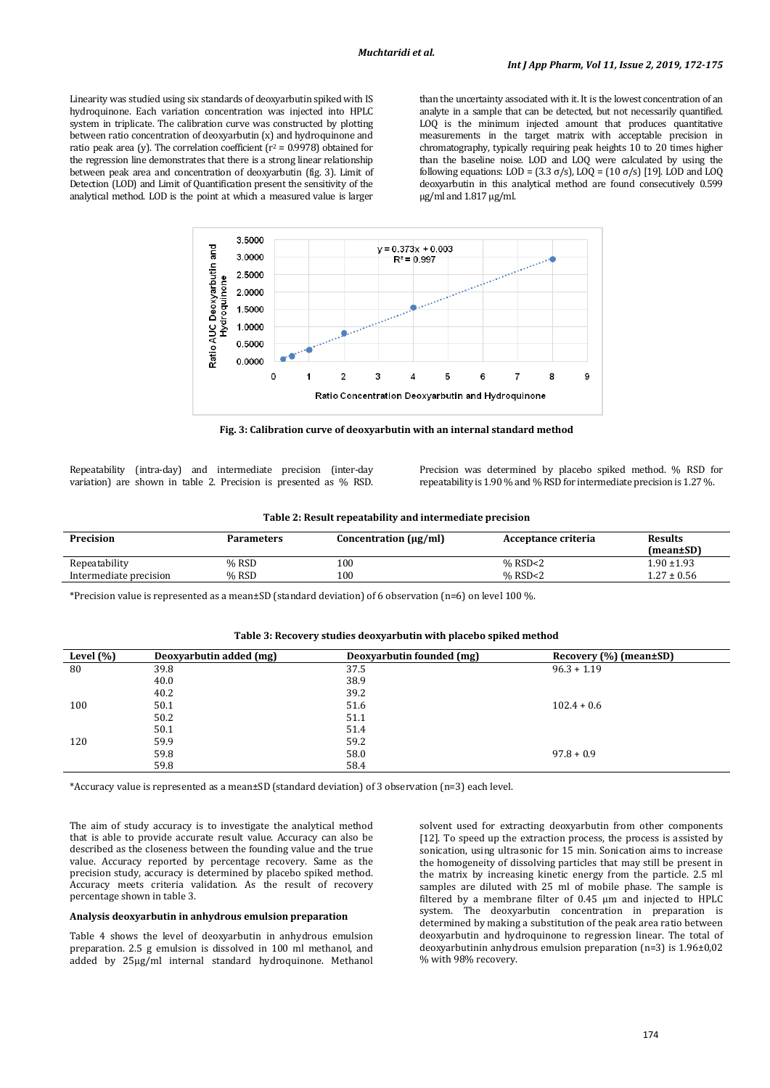Linearity was studied using six standards of deoxyarbutin spiked with IS hydroquinone. Each variation concentration was injected into HPLC system in triplicate. The calibration curve was constructed by plotting between ratio concentration of deoxyarbutin (x) and hydroquinone and ratio peak area (y). The correlation coefficient ( $r^2$  = 0.9978) obtained for the regression line demonstrates that there is a strong linear relationship between peak area and concentration of deoxyarbutin (fig. 3). Limit of Detection (LOD) and Limit of Quantification present the sensitivity of the analytical method. LOD is the point at which a measured value is larger

than the uncertainty associated with it. It is the lowest concentration of an analyte in a sample that can be detected, but not necessarily quantified. LOQ is the minimum injected amount that produces quantitative measurements in the target matrix with acceptable precision in chromatography, typically requiring peak heights 10 to 20 times higher than the baseline noise. LOD and LOQ were calculated by using the following equations: LOD = (3.3 σ/s), LOQ = (10 σ/s) [19]. LOD and LOQ deoxyarbutin in this analytical method are found consecutively 0.599 µg/ml and 1.817 µg/ml.



**Fig. 3: Calibration curve of deoxyarbutin with an internal standard method**

Repeatability (intra-day) and intermediate precision (inter-day variation) are shown in table 2. Precision is presented as % RSD. Precision was determined by placebo spiked method. % RSD for repeatability is 1.90 % and % RSD for intermediate precision is 1.27 %.

|  |  |  | Table 2: Result repeatability and intermediate precision |  |
|--|--|--|----------------------------------------------------------|--|
|  |  |  |                                                          |  |

| Precision              | <b>Parameters</b> | Concentration $(\mu g/ml)$ | Acceptance criteria | <b>Results</b>  |
|------------------------|-------------------|----------------------------|---------------------|-----------------|
|                        |                   |                            |                     | (mean±SD)       |
| Repeatability          | $%$ RSD           | 100                        | $%$ RSD $<$ 2       | 1.90 ±1.93      |
| Intermediate precision | % RSD             | 100                        | % RSD<2             | $1.27 \pm 0.56$ |

\*Precision value is represented as a mean±SD (standard deviation) of 6 observation (n=6) on level 100 %.

| Level $(\% )$ | Deoxyarbutin added (mg) | Deoxyarbutin founded (mg) | Recovery $(\% )$ (mean $\pm$ SD) |
|---------------|-------------------------|---------------------------|----------------------------------|
| 80            | 39.8                    | 37.5                      | $96.3 + 1.19$                    |
|               | 40.0                    | 38.9                      |                                  |
|               | 40.2                    | 39.2                      |                                  |
| 100           | 50.1                    | 51.6                      | $102.4 + 0.6$                    |
|               | 50.2                    | 51.1                      |                                  |
|               | 50.1                    | 51.4                      |                                  |
| 120           | 59.9                    | 59.2                      |                                  |
|               | 59.8                    | 58.0                      | $97.8 + 0.9$                     |
|               | 59.8                    | 58.4                      |                                  |
|               |                         |                           |                                  |

## **Table 3: Recovery studies deoxyarbutin with placebo spiked method**

\*Accuracy value is represented as a mean±SD (standard deviation) of 3 observation (n=3) each level.

The aim of study accuracy is to investigate the analytical method that is able to provide accurate result value. Accuracy can also be described as the closeness between the founding value and the true value. Accuracy reported by percentage recovery. Same as the precision study, accuracy is determined by placebo spiked method. Accuracy meets criteria validation. As the result of recovery percentage shown in table 3.

### **Analysis deoxyarbutin in anhydrous emulsion preparation**

Table 4 shows the level of deoxyarbutin in anhydrous emulsion preparation. 2.5 g emulsion is dissolved in 100 ml methanol, and added by 25µg/ml internal standard hydroquinone. Methanol

solvent used for extracting deoxyarbutin from other components [12]. To speed up the extraction process, the process is assisted by sonication, using ultrasonic for 15 min. Sonication aims to increase the homogeneity of dissolving particles that may still be present in the matrix by increasing kinetic energy from the particle. 2.5 ml samples are diluted with 25 ml of mobile phase. The sample is filtered by a membrane filter of 0.45 μm and injected to HPLC system. The deoxyarbutin concentration in preparation is determined by making a substitution of the peak area ratio between deoxyarbutin and hydroquinone to regression linear. The total of deoxyarbutinin anhydrous emulsion preparation (n=3) is 1.96±0,02 % with 98% recovery.